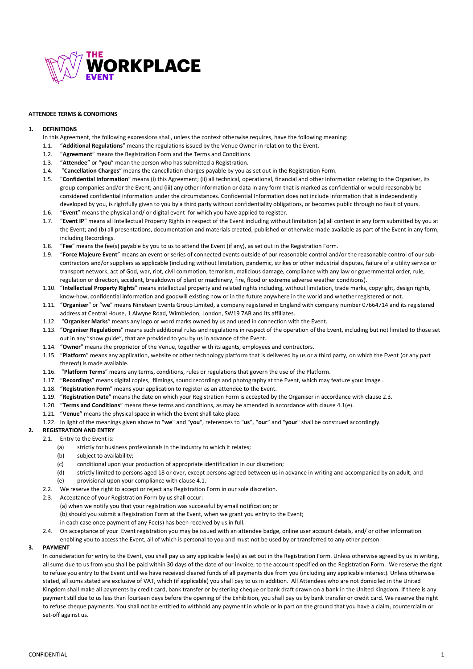

#### **ATTENDEE TERMS & CONDITIONS**

#### **1. DEFINITIONS**

- In this Agreement, the following expressions shall, unless the context otherwise requires, have the following meaning:
- 1.1. "**Additional Regulations**" means the regulations issued by the Venue Owner in relation to the Event.
- 1.2. "**Agreement**" means the Registration Form and the Terms and Conditions
- 1.3. "**Attendee**" or "**you**" mean the person who has submitted a Registration.
- 1.4. "**Cancellation Charges**" means the cancellation charges payable by you as set out in the Registration Form.
- 1.5. "**Confidential Information**" means (i) this Agreement; (ii) all technical, operational, financial and other information relating to the Organiser, its group companies and/or the Event; and (iii) any other information or data in any form that is marked as confidential or would reasonably be considered confidential information under the circumstances. Confidential Information does not include information that is independently developed by you, is rightfully given to you by a third party without confidentiality obligations, or becomes public through no fault of yours.
- 1.6. "**Event**" means the physical and/ or digital event for which you have applied to register.
- 1.7. "**Event IP**" means all Intellectual Property Rights in respect of the Event including without limitation (a) all content in any form submitted by you at the Event; and (b) all presentations, documentation and materials created, published or otherwise made available as part of the Event in any form, including Recordings.
- 1.8. "**Fee**" means the fee(s) payable by you to us to attend the Event (if any), as set out in the Registration Form.
- 1.9. "**Force Majeure Event**" means an event or series of connected events outside of our reasonable control and/or the reasonable control of our subcontractors and/or suppliers as applicable (including without limitation, pandemic, strikes or other industrial disputes, failure of a utility service or transport network, act of God, war, riot, civil commotion, terrorism, malicious damage, compliance with any law or governmental order, rule, regulation or direction, accident, breakdown of plant or machinery, fire, flood or extreme adverse weather conditions).
- 1.10. "**Intellectual Property Rights**" means intellectual property and related rights including, without limitation, trade marks, copyright, design rights, know-how, confidential information and goodwill existing now or in the future anywhere in the world and whether registered or not.
- 1.11. "**Organiser**" or "**we**" means Nineteen Events Group Limited, a company registered in England with company number 07664714 and its registered address at Central House, 1 Alwyne Road, Wimbledon, London, SW19 7AB and its affiliates.
- 1.12. "**Organiser Marks**" means any logo or word marks owned by us and used in connection with the Event.
- 1.13. "**Organiser Regulations**" means such additional rules and regulations in respect of the operation of the Event, including but not limited to those set out in any "show guide", that are provided to you by us in advance of the Event.
- 1.14. "**Owner**" means the proprietor of the Venue, together with its agents, employees and contractors.
- 1.15. "**Platform**" means any application, website or other technology platform that is delivered by us or a third party, on which the Event (or any part thereof) is made available.
- 1.16. "**Platform Terms**" means any terms, conditions, rules or regulations that govern the use of the Platform.
- 1.17. "**Recordings**" means digital copies, filmings, sound recordings and photography at the Event, which may feature your image .
- 1.18. "**Registration Form**" means your application to register as an attendee to the Event.
- 1.19. "**Registration Date**" means the date on which your Registration Form is accepted by the Organiser in accordance with clause 2.3.
- 1.20. "**Terms and Conditions**" means these terms and conditions, as may be amended in accordance with clause 4.1(e).
- 1.21. "**Venue**" means the physical space in which the Event shall take place.
- 1.22. In light of the meanings given above to "**we**" and "**you**", references to "**us**", "**our**" and "**your**" shall be construed accordingly.

#### **2. REGISTRATION AND ENTRY**

- 2.1. Entry to the Event is:
	- (a) strictly for business professionals in the industry to which it relates;
	- (b) subject to availability:
	- (c) conditional upon your production of appropriate identification in our discretion;
	- (d) strictly limited to persons aged 18 or over, except persons agreed between us in advance in writing and accompanied by an adult; and
	- (e) provisional upon your compliance with clause 4.1.
	- 2.2. We reserve the right to accept or reject any Registration Form in our sole discretion.
	- 2.3. Acceptance of your Registration Form by us shall occur: (a) when we notify you that your registration was successful by email notification; or (b) should you submit a Registration Form at the Event, when we grant you entry to the Event; in each case once payment of any Fee(s) has been received by us in full.

## 2.4. On acceptance of your Event registration you may be issued with an attendee badge, online user account details, and/ or other information enabling you to access the Event, all of which is personal to you and must not be used by or transferred to any other person.

#### **3. PAYMENT**

In consideration for entry to the Event, you shall pay us any applicable fee(s) as set out in the Registration Form. Unless otherwise agreed by us in writing, all sums due to us from you shall be paid within 30 days of the date of our invoice, to the account specified on the Registration Form. We reserve the right to refuse you entry to the Event until we have received cleared funds of all payments due from you (including any applicable interest). Unless otherwise stated, all sums stated are exclusive of VAT, which (if applicable) you shall pay to us in addition. All Attendees who are not domiciled in the United Kingdom shall make all payments by credit card, bank transfer or by sterling cheque or bank draft drawn on a bank in the United Kingdom. If there is any payment still due to us less than fourteen days before the opening of the Exhibition, you shall pay us by bank transfer or credit card. We reserve the right to refuse cheque payments. You shall not be entitled to withhold any payment in whole or in part on the ground that you have a claim, counterclaim or set-off against us.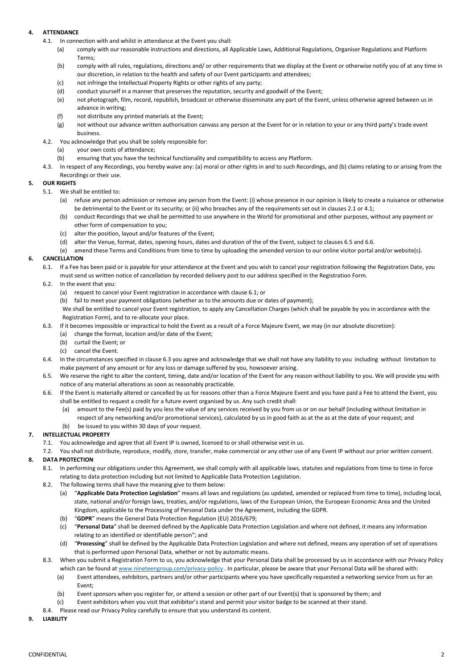# **4. ATTENDANCE**

- 4.1. In connection with and whilst in attendance at the Event you shall:
	- (a) comply with our reasonable instructions and directions, all Applicable Laws, Additional Regulations, Organiser Regulations and Platform Terms;
	- (b) comply with all rules, regulations, directions and/ or other requirements that we display at the Event or otherwise notify you of at any time in our discretion, in relation to the health and safety of our Event participants and attendees;
	- (c) not infringe the Intellectual Property Rights or other rights of any party;
	- (d) conduct yourself in a manner that preserves the reputation, security and goodwill of the Event;
	- (e) not photograph, film, record, republish, broadcast or otherwise disseminate any part of the Event, unless otherwise agreed between us in advance in writing;
	- (f) not distribute any printed materials at the Event;
	- (g) not without our advance written authorisation canvass any person at the Event for or in relation to your or any third party's trade event business.
- 4.2. You acknowledge that you shall be solely responsible for:
	- (a) your own costs of attendance;
	- (b) ensuring that you have the technical functionality and compatibility to access any Platform.
- 4.3. In respect of any Recordings, you hereby waive any: (a) moral or other rights in and to such Recordings, and (b) claims relating to or arising from the Recordings or their use.

## **5. OUR RIGHTS**

- 5.1. We shall be entitled to:
	- (a) refuse any person admission or remove any person from the Event: (i) whose presence in our opinion is likely to create a nuisance or otherwise be detrimental to the Event or its security; or (ii) who breaches any of the requirements set out in clauses 2.1 or 4.1;
	- (b) conduct Recordings that we shall be permitted to use anywhere in the World for promotional and other purposes, without any payment or other form of compensation to you;
	- (c) alter the position, layout and/or features of the Event;
	- (d) alter the Venue, format, dates, opening hours, dates and duration of the of the Event, subject to clauses 6.5 and 6.6.
	- (e) amend these Terms and Conditions from time to time by uploading the amended version to our online visitor portal and/or website(s).

# **6. CANCELLATION**

- 6.1. If a Fee has been paid or is payable for your attendance at the Event and you wish to cancel your registration following the Registration Date, you must send us written notice of cancellation by recorded delivery post to our address specified in the Registration Form.
- 6.2. In the event that you:
	- (a) request to cancel your Event registration in accordance with clause 6.1; or
	- (b) fail to meet your payment obligations (whether as to the amounts due or dates of payment);

We shall be entitled to cancel your Event registration, to apply any Cancellation Charges (which shall be payable by you in accordance with the Registration Form), and to re-allocate your place.

- 6.3. If it becomes impossible or impractical to hold the Event as a result of a Force Majeure Event, we may (in our absolute discretion):
	- (a) change the format, location and/or date of the Event;
	- (b) curtail the Event; or
	- (c) cancel the Event.
- 6.4. In the circumstances specified in clause 6.3 you agree and acknowledge that we shall not have any liability to you including without limitation to make payment of any amount or for any loss or damage suffered by you, howsoever arising.
- 6.5. We reserve the right to alter the content, timing, date and/or location of the Event for any reason without liability to you. We will provide you with notice of any material alterations as soon as reasonably practicable.
- 6.6. If the Event is materially altered or cancelled by us for reasons other than a Force Majeure Event and you have paid a Fee to attend the Event, you shall be entitled to request a credit for a future event organised by us. Any such credit shall:
	- (a) amount to the Fee(s) paid by you less the value of any services received by you from us or on our behalf (including without limitation in respect of any networking and/or promotional services), calculated by us in good faith as at the as at the date of your request; and
	- (b) be issued to you within 30 days of your request.

# **7. INTELLECTUAL PROPERTY**

7.1. You acknowledge and agree that all Event IP is owned, licensed to or shall otherwise vest in us.

7.2. You shall not distribute, reproduce, modify, store, transfer, make commercial or any other use of any Event IP without our prior written consent.

# **8. DATA PROTECTION**

- 8.1. In performing our obligations under this Agreement, we shall comply with all applicable laws, statutes and regulations from time to time in force relating to data protection including but not limited to Applicable Data Protection Legislation.
- 8.2. The following terms shall have the meaning give to them below:
	- (a) "**Applicable Data Protection Legislation**" means all laws and regulations (as updated, amended or replaced from time to time), including local, state, national and/or foreign laws, treaties, and/or regulations, laws of the European Union, the European Economic Area and the United Kingdom, applicable to the Processing of Personal Data under the Agreement, including the GDPR.
	- (b) "**GDPR**" means the General Data Protection Regulation (EU) 2016/679;
	- (c) "**Personal Data**" shall be deemed defined by the Applicable Data Protection Legislation and where not defined, it means any information relating to an identified or identifiable person"; and
	- (d) "**Processing**" shall be defined by the Applicable Data Protection Legislation and where not defined, means any operation of set of operations that is performed upon Personal Data, whether or not by automatic means.
- 8.3. When you submit a Registration Form to us, you acknowledge that your Personal Data shall be processed by us in accordance with our Privacy Policy which can be found at [www.nineteengroup.com/privacy-policy](https://www.nineteengroup.com/privacy-policy) . In particular, please be aware that your Personal Data will be shared with:
	- (a) Event attendees, exhibitors, partners and/or other participants where you have specifically requested a networking service from us for an Event;
	- (b) Event sponsors when you register for, or attend a session or other part of our Event(s) that is sponsored by them; and
	- (c) Event exhibitors when you visit that exhibitor's stand and permit your visitor badge to be scanned at their stand.
- 8.4. Please read our Privacy Policy carefully to ensure that you understand its content.
- **9. LIABILITY**